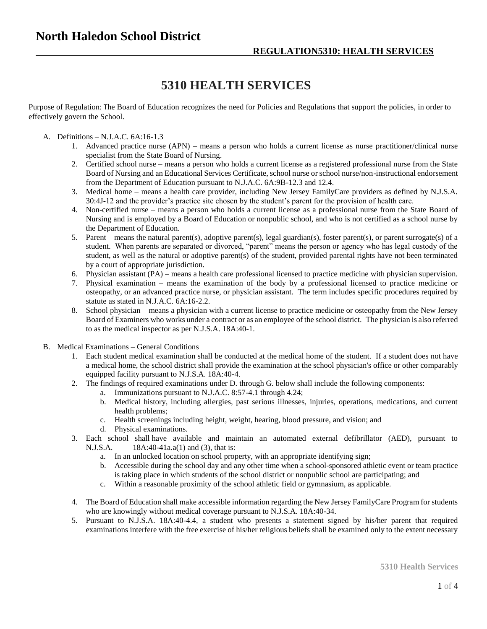## **5310 HEALTH SERVICES**

Purpose of Regulation: The Board of Education recognizes the need for Policies and Regulations that support the policies, in order to effectively govern the School.

## A. Definitions – N.J.A.C. 6A:16-1.3

- 1. Advanced practice nurse (APN) means a person who holds a current license as nurse practitioner/clinical nurse specialist from the State Board of Nursing.
- 2. Certified school nurse means a person who holds a current license as a registered professional nurse from the State Board of Nursing and an Educational Services Certificate, school nurse or school nurse/non-instructional endorsement from the Department of Education pursuant to N.J.A.C. 6A:9B-12.3 and 12.4.
- 3. Medical home means a health care provider, including New Jersey FamilyCare providers as defined by N.J.S.A. 30:4J-12 and the provider's practice site chosen by the student's parent for the provision of health care.
- 4. Non-certified nurse means a person who holds a current license as a professional nurse from the State Board of Nursing and is employed by a Board of Education or nonpublic school, and who is not certified as a school nurse by the Department of Education.
- 5. Parent means the natural parent(s), adoptive parent(s), legal guardian(s), foster parent(s), or parent surrogate(s) of a student. When parents are separated or divorced, "parent" means the person or agency who has legal custody of the student, as well as the natural or adoptive parent(s) of the student, provided parental rights have not been terminated by a court of appropriate jurisdiction.
- 6. Physician assistant (PA) means a health care professional licensed to practice medicine with physician supervision.
- 7. Physical examination means the examination of the body by a professional licensed to practice medicine or osteopathy, or an advanced practice nurse, or physician assistant. The term includes specific procedures required by statute as stated in N.J.A.C. 6A:16-2.2.
- 8. School physician means a physician with a current license to practice medicine or osteopathy from the New Jersey Board of Examiners who works under a contract or as an employee of the school district. The physician is also referred to as the medical inspector as per N.J.S.A. 18A:40-1.
- B. Medical Examinations General Conditions
	- 1. Each student medical examination shall be conducted at the medical home of the student. If a student does not have a medical home, the school district shall provide the examination at the school physician's office or other comparably equipped facility pursuant to N.J.S.A. 18A:40-4.
	- 2. The findings of required examinations under D. through G. below shall include the following components:
		- a. Immunizations pursuant to N.J.A.C. 8:57-4.1 through 4.24;
		- b. Medical history, including allergies, past serious illnesses, injuries, operations, medications, and current health problems;
		- c. Health screenings including height, weight, hearing, blood pressure, and vision; and
		- d. Physical examinations.
	- 3. Each school shall have available and maintain an automated external defibrillator (AED), pursuant to N.J.S.A. 18A:40-41a.a(1) and (3), that is:
		- a. In an unlocked location on school property, with an appropriate identifying sign;
		- b. Accessible during the school day and any other time when a school-sponsored athletic event or team practice is taking place in which students of the school district or nonpublic school are participating; and
		- c. Within a reasonable proximity of the school athletic field or gymnasium, as applicable.
	- 4. The Board of Education shall make accessible information regarding the New Jersey FamilyCare Program for students who are knowingly without medical coverage pursuant to N.J.S.A. 18A:40-34.
	- 5. Pursuant to N.J.S.A. 18A:40-4.4, a student who presents a statement signed by his/her parent that required examinations interfere with the free exercise of his/her religious beliefs shall be examined only to the extent necessary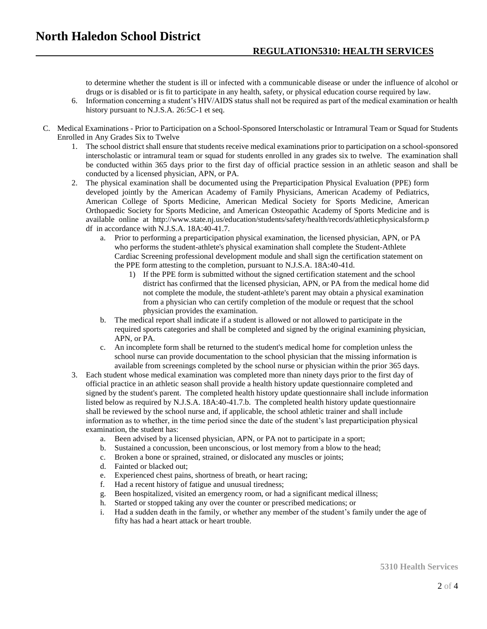to determine whether the student is ill or infected with a communicable disease or under the influence of alcohol or drugs or is disabled or is fit to participate in any health, safety, or physical education course required by law.

- 6. Information concerning a student's HIV/AIDS status shall not be required as part of the medical examination or health history pursuant to N.J.S.A. 26:5C-1 et seq.
- C. Medical Examinations Prior to Participation on a School-Sponsored Interscholastic or Intramural Team or Squad for Students Enrolled in Any Grades Six to Twelve
	- 1. The school district shall ensure that students receive medical examinations prior to participation on a school-sponsored interscholastic or intramural team or squad for students enrolled in any grades six to twelve. The examination shall be conducted within 365 days prior to the first day of official practice session in an athletic season and shall be conducted by a licensed physician, APN, or PA.
	- 2. The physical examination shall be documented using the Preparticipation Physical Evaluation (PPE) form developed jointly by the American Academy of Family Physicians, American Academy of Pediatrics, American College of Sports Medicine, American Medical Society for Sports Medicine, American Orthopaedic Society for Sports Medicine, and American Osteopathic Academy of Sports Medicine and is available online at http://www.state.nj.us/education/students/safety/health/records/athleticphysicalsform.p df in accordance with N.J.S.A. 18A:40-41.7.
		- a. Prior to performing a preparticipation physical examination, the licensed physician, APN, or PA who performs the student-athlete's physical examination shall complete the Student-Athlete Cardiac Screening professional development module and shall sign the certification statement on the PPE form attesting to the completion, pursuant to N.J.S.A. 18A:40-41d.
			- 1) If the PPE form is submitted without the signed certification statement and the school district has confirmed that the licensed physician, APN, or PA from the medical home did not complete the module, the student-athlete's parent may obtain a physical examination from a physician who can certify completion of the module or request that the school physician provides the examination.
		- b. The medical report shall indicate if a student is allowed or not allowed to participate in the required sports categories and shall be completed and signed by the original examining physician, APN, or PA.
		- c. An incomplete form shall be returned to the student's medical home for completion unless the school nurse can provide documentation to the school physician that the missing information is available from screenings completed by the school nurse or physician within the prior 365 days.
	- 3. Each student whose medical examination was completed more than ninety days prior to the first day of official practice in an athletic season shall provide a health history update questionnaire completed and signed by the student's parent. The completed health history update questionnaire shall include information listed below as required by N.J.S.A. 18A:40-41.7.b. The completed health history update questionnaire shall be reviewed by the school nurse and, if applicable, the school athletic trainer and shall include information as to whether, in the time period since the date of the student's last preparticipation physical examination, the student has:
		- a. Been advised by a licensed physician, APN, or PA not to participate in a sport;
		- b. Sustained a concussion, been unconscious, or lost memory from a blow to the head;
		- c. Broken a bone or sprained, strained, or dislocated any muscles or joints;
		- d. Fainted or blacked out;
		- e. Experienced chest pains, shortness of breath, or heart racing;
		- f. Had a recent history of fatigue and unusual tiredness;
		- g. Been hospitalized, visited an emergency room, or had a significant medical illness;
		- h. Started or stopped taking any over the counter or prescribed medications; or
		- i. Had a sudden death in the family, or whether any member of the student's family under the age of fifty has had a heart attack or heart trouble.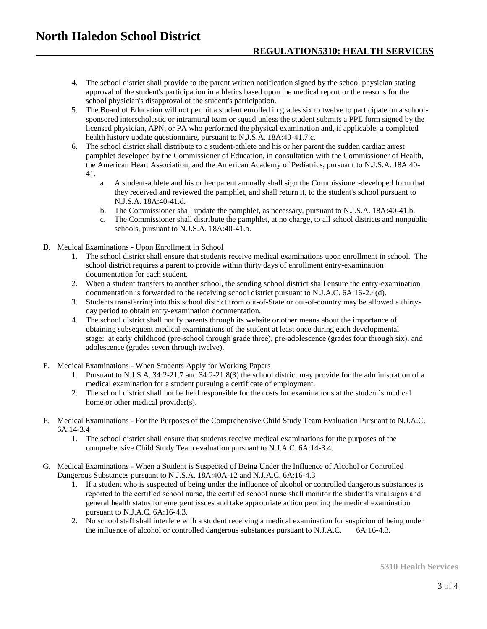- 4. The school district shall provide to the parent written notification signed by the school physician stating approval of the student's participation in athletics based upon the medical report or the reasons for the school physician's disapproval of the student's participation.
- 5. The Board of Education will not permit a student enrolled in grades six to twelve to participate on a schoolsponsored interscholastic or intramural team or squad unless the student submits a PPE form signed by the licensed physician, APN, or PA who performed the physical examination and, if applicable, a completed health history update questionnaire, pursuant to N.J.S.A. 18A:40-41.7.c.
- 6. The school district shall distribute to a student-athlete and his or her parent the sudden cardiac arrest pamphlet developed by the Commissioner of Education, in consultation with the Commissioner of Health, the American Heart Association, and the American Academy of Pediatrics, pursuant to N.J.S.A. 18A:40- 41.
	- a. A student-athlete and his or her parent annually shall sign the Commissioner-developed form that they received and reviewed the pamphlet, and shall return it, to the student's school pursuant to N.J.S.A. 18A:40-41.d.
	- b. The Commissioner shall update the pamphlet, as necessary, pursuant to N.J.S.A. 18A:40-41.b.
	- c. The Commissioner shall distribute the pamphlet, at no charge, to all school districts and nonpublic schools, pursuant to N.J.S.A. 18A:40-41.b.
- D. Medical Examinations Upon Enrollment in School
	- 1. The school district shall ensure that students receive medical examinations upon enrollment in school. The school district requires a parent to provide within thirty days of enrollment entry-examination documentation for each student.
	- 2. When a student transfers to another school, the sending school district shall ensure the entry-examination documentation is forwarded to the receiving school district pursuant to N.J.A.C. 6A:16-2.4(d).
	- 3. Students transferring into this school district from out-of-State or out-of-country may be allowed a thirtyday period to obtain entry-examination documentation.
	- 4. The school district shall notify parents through its website or other means about the importance of obtaining subsequent medical examinations of the student at least once during each developmental stage: at early childhood (pre-school through grade three), pre-adolescence (grades four through six), and adolescence (grades seven through twelve).
- E. Medical Examinations When Students Apply for Working Papers
	- 1. Pursuant to N.J.S.A. 34:2-21.7 and 34:2-21.8(3) the school district may provide for the administration of a medical examination for a student pursuing a certificate of employment.
	- 2. The school district shall not be held responsible for the costs for examinations at the student's medical home or other medical provider(s).
- F. Medical Examinations For the Purposes of the Comprehensive Child Study Team Evaluation Pursuant to N.J.A.C. 6A:14-3.4
	- 1. The school district shall ensure that students receive medical examinations for the purposes of the comprehensive Child Study Team evaluation pursuant to N.J.A.C. 6A:14-3.4.
- G. Medical Examinations When a Student is Suspected of Being Under the Influence of Alcohol or Controlled Dangerous Substances pursuant to N.J.S.A. 18A:40A-12 and N.J.A.C. 6A:16-4.3
	- 1. If a student who is suspected of being under the influence of alcohol or controlled dangerous substances is reported to the certified school nurse, the certified school nurse shall monitor the student's vital signs and general health status for emergent issues and take appropriate action pending the medical examination pursuant to N.J.A.C. 6A:16-4.3.
	- 2. No school staff shall interfere with a student receiving a medical examination for suspicion of being under the influence of alcohol or controlled dangerous substances pursuant to N.J.A.C. 6A:16-4.3.

**5310 Health Services**